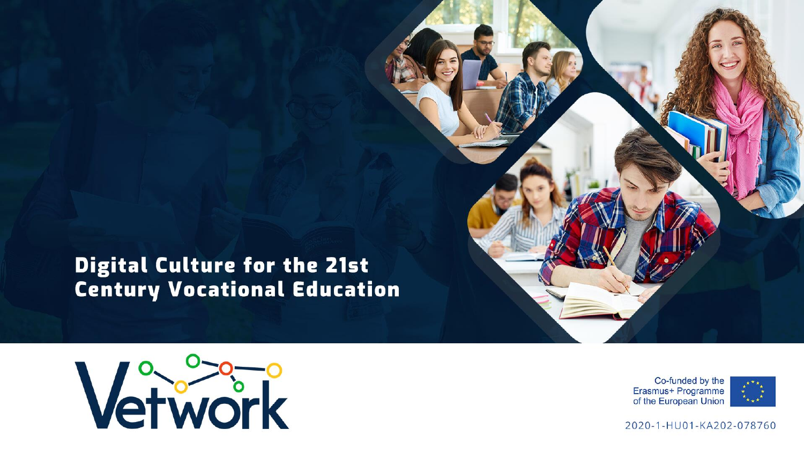#### **Digital Culture for the 21st Century Vocational Education**



Co-funded by the Erasmus+ Programme of the European Union



2020-1-HU01-KA202-078760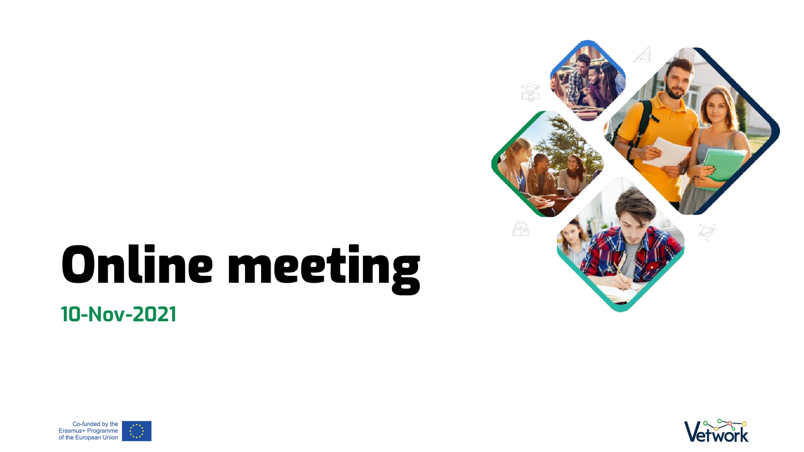### Online meeting **10-Nov-2021**





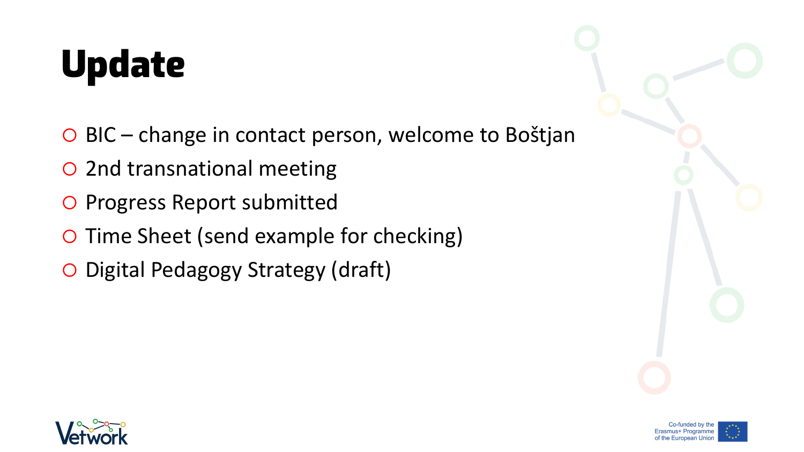# Update

- BIC change in contact person, welcome to Boštjan
- 2nd transnational meeting
- O Progress Report submitted
- O Time Sheet (send example for checking)
- O Digital Pedagogy Strategy (draft)



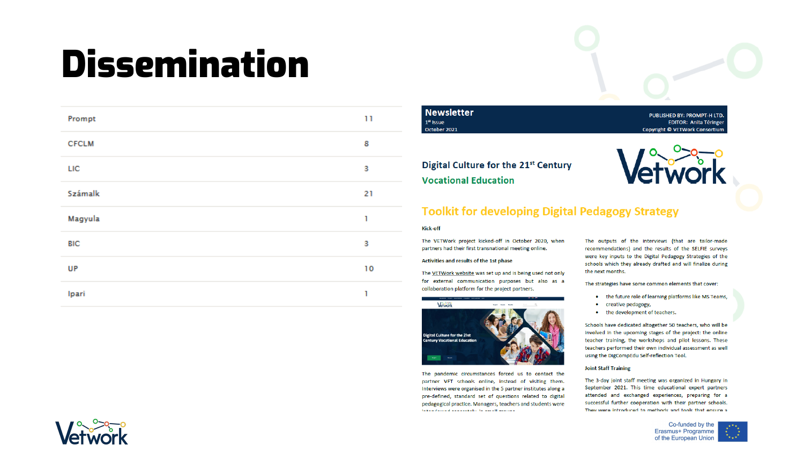### **Dissemination**

| Prompt       | 11 |
|--------------|----|
| <b>CFCLM</b> | 8  |
| LIC          | 3  |
| Számalk      | 21 |
| Magyula      | 1  |
| <b>BIC</b>   | 3  |
| UP           | 10 |
| Ipari        | 1  |

#### **Newsletter**  $1<sup>st</sup>$  Issue October 2021

PUBLISHED BY: PROMPT-H LTD. **EDITOR: Anita Téringer Copyright © VETWork Consortium** 



#### **Toolkit for developing Digital Pedagogy Strategy**

#### **Kick-off**

The VETWork project kicked-off in October 2020, when partners had their first transnational meeting online.

Digital Culture for the 21st Century

#### Activities and results of the 1st phase

**Vocational Education** 

The VETWork website was set up and is being used not only for external communication purposes but also as a collaboration platform for the project partners.



The pandemic circumstances forced us to contact the partner VET schools online, instead of visiting them. Interviews were organised in the 5 partner institutes along a pre-defined, standard set of questions related to digital pedagogical practice. Managers, teachers and students were the basis of account and account of the same of the second a

The outputs of the interviews (that are tailor-made recommendations) and the results of the SELFIE surveys were key inputs to the Digital Pedagogy Strategies of the schools which they already drafted and will finalize during the next months.

The strategies have some common elements that cover:

- the future role of learning platforms like MS Teams,
- creative pedagogy,  $\bullet$
- $\bullet$ the development of teachers.

Schools have dedicated altogether 50 teachers, who will be involved in the upcoming stages of the project: the online teacher training, the workshops and pilot lessons. These teachers performed their own individual assessment as well using the DigCompEdu Self-reflection Tool.

#### **Joint Staff Training**

The 3-day joint staff meeting was organized in Hungary in September 2021. This time educational expert partners attended and exchanged experiences, preparing for a successful further cooperation with their partner schools. They were introduced to methods and tools that ensure a



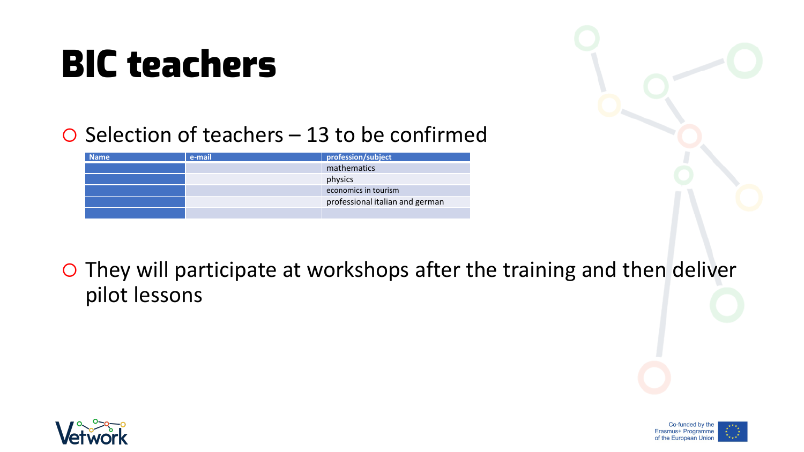## BIC teachers

 $\circ$  Selection of teachers – 13 to be confirmed

| <b>Name</b> | e-mail | profession/subject              |
|-------------|--------|---------------------------------|
|             |        | mathematics                     |
|             |        | physics                         |
|             |        | economics in tourism            |
|             |        | professional italian and german |
|             |        |                                 |

 They will participate at workshops after the training and then deliver pilot lessons



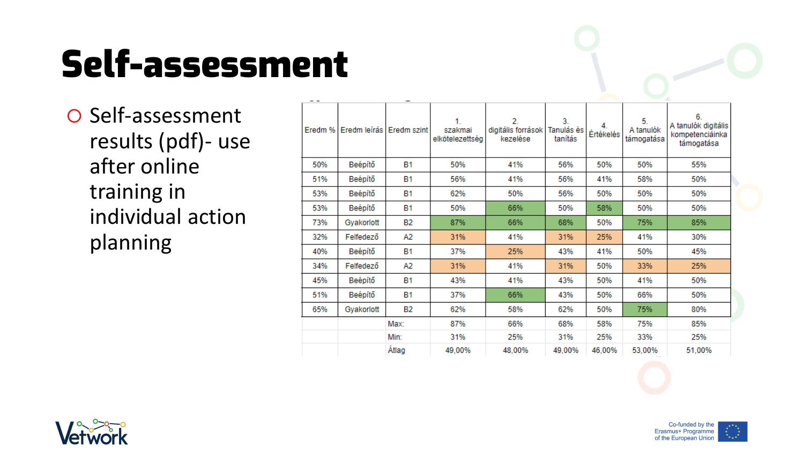## Self-assessment

O Self-assessment results (pdf)- use after online training in individual action planning

| Eredm % | Eredm leírás l | Eredm szint | 1.<br>szakmai<br>elkötelezettség | 2.<br>digitális források<br>kezelése | 3.<br>Tanulás és<br>tanítás | 4.<br>Értékelés | 5.<br>A tanulók<br>támogatása | 6.<br>A tanulók digitális<br>kompetenciáinka<br>támogatása |
|---------|----------------|-------------|----------------------------------|--------------------------------------|-----------------------------|-----------------|-------------------------------|------------------------------------------------------------|
| 50%     | Beépítő        | <b>B1</b>   | 50%                              | 41%                                  | 56%                         | 50%             | 50%                           | 55%                                                        |
| 51%     | Beépítő        | <b>B1</b>   | 56%                              | 41%                                  | 56%                         | 41%             | 58%                           | 50%                                                        |
| 53%     | Beépítő        | <b>B1</b>   | 62%                              | 50%                                  | 56%                         | 50%             | 50%                           | 50%                                                        |
| 53%     | Beépítő        | <b>B1</b>   | 50%                              | 66%                                  | 50%                         | 58%             | 50%                           | 50%                                                        |
| 73%     | Gyakorlott     | <b>B2</b>   | 87%                              | 66%                                  | 68%                         | 50%             | 75%                           | 85%                                                        |
| 32%     | Felfedező      | A2          | 31%                              | 41%                                  | 31%                         | 25%             | 41%                           | 30%                                                        |
| 40%     | Beépítő        | <b>B1</b>   | 37%                              | 25%                                  | 43%                         | 41%             | 50%                           | 45%                                                        |
| 34%     | Felfedező      | A2          | 31%                              | 41%                                  | 31%                         | 50%             | 33%                           | 25%                                                        |
| 45%     | Beépítő        | <b>B1</b>   | 43%                              | 41%                                  | 43%                         | 50%             | 41%                           | 50%                                                        |
| 51%     | Beépítő        | <b>B1</b>   | 37%                              | 66%                                  | 43%                         | 50%             | 66%                           | 50%                                                        |
| 65%     | Gyakorlott     | <b>B2</b>   | 62%                              | 58%                                  | 62%                         | 50%             | 75%                           | 80%                                                        |
|         |                | Max:        | 87%                              | 66%                                  | 68%                         | 58%             | 75%                           | 85%                                                        |
|         |                | Min:        | 31%                              | 25%                                  | 31%                         | 25%             | 33%                           | 25%                                                        |
|         |                | Átlag       | 49,00%                           | 48,00%                               | 49,00%                      | 46,00%          | 53,00%                        | 51,00%                                                     |



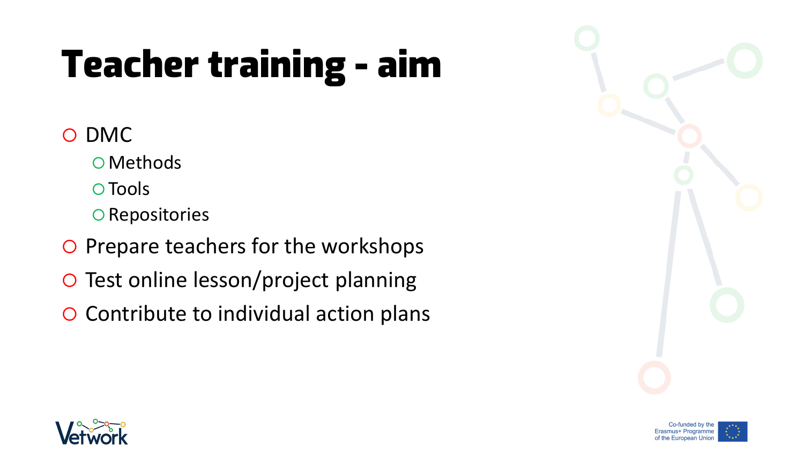# Teacher training - aim

### **O DMC**

Methods

Tools

O Repositories

- O Prepare teachers for the workshops
- O Test online lesson/project planning
- O Contribute to individual action plans





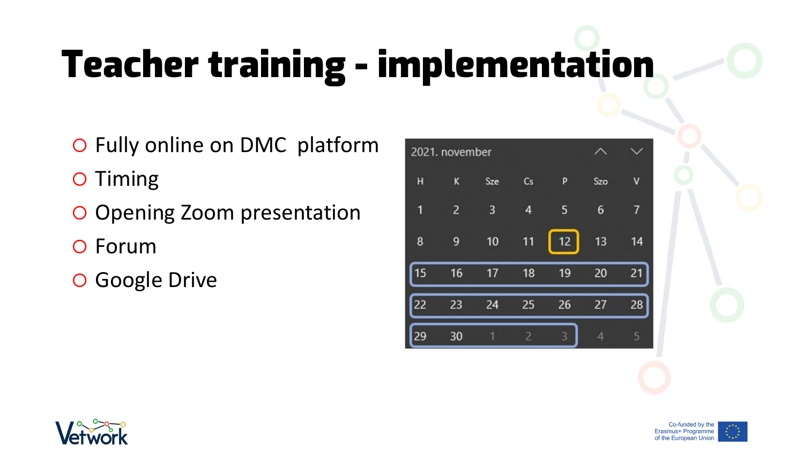# Teacher training - implementation

- Fully online on DMC platform
- O Timing
- O Opening Zoom presentation
- Forum
- O Google Drive





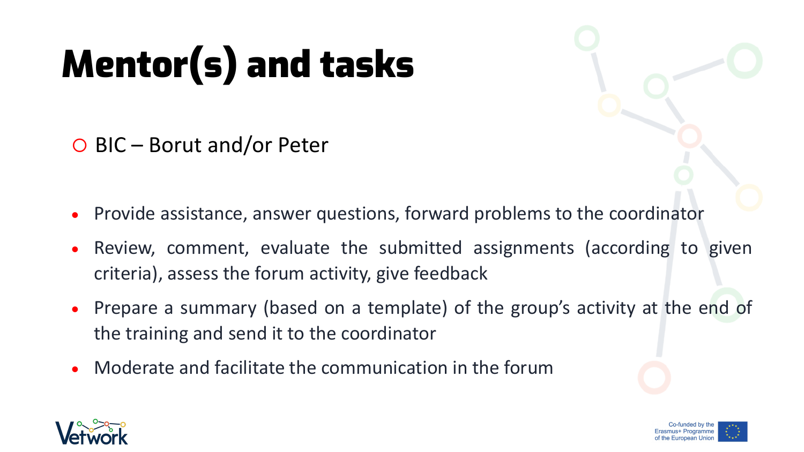# Mentor(s) and tasks

BIC – Borut and/or Peter

- Provide assistance, answer questions, forward problems to the coordinator
- Review, comment, evaluate the submitted assignments (according to given criteria), assess the forum activity, give feedback
- Prepare a summary (based on a template) of the group's activity at the end of the training and send it to the coordinator
- Moderate and facilitate the communication in the forum



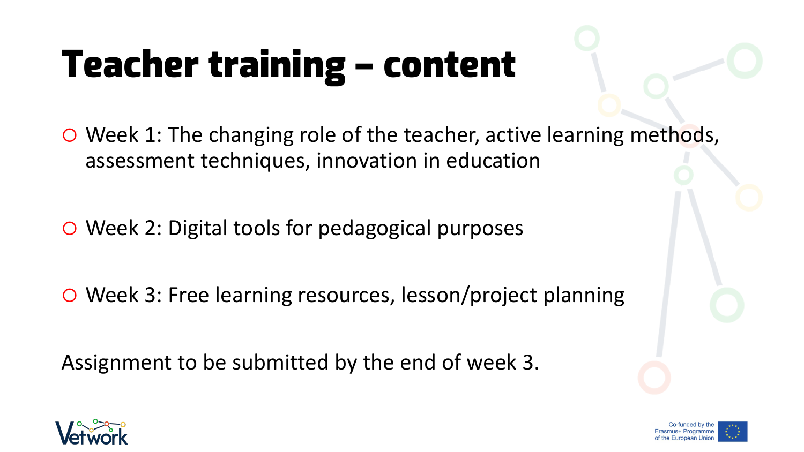# Teacher training – content

 Week 1: The changing role of the teacher, active learning methods, assessment techniques, innovation in education

Week 2: Digital tools for pedagogical purposes

Week 3: Free learning resources, lesson/project planning

Assignment to be submitted by the end of week 3.



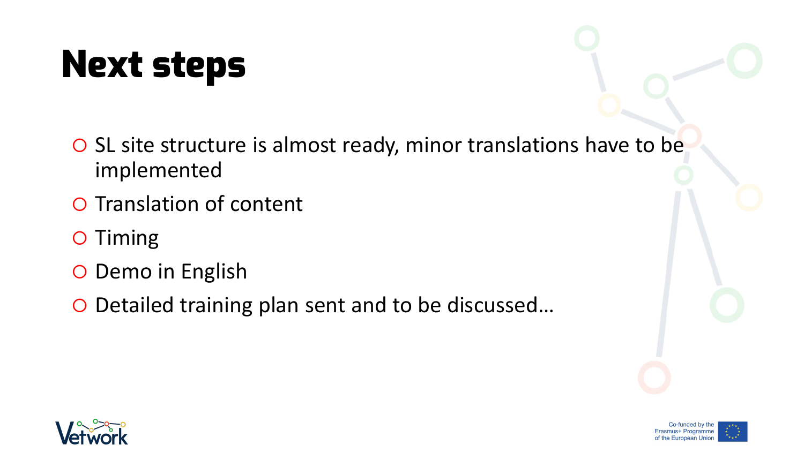## Next steps

- O SL site structure is almost ready, minor translations have to be implemented
- O Translation of content
- O Timing
- O Demo in English
- O Detailed training plan sent and to be discussed...



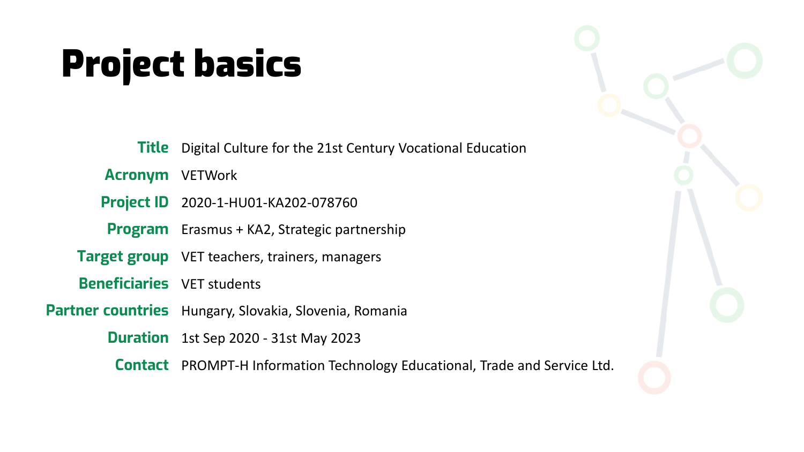## Project basics

**Title** Digital Culture for the 21st Century Vocational Education **Acronym** VETWork **Project ID** 2020-1-HU01-KA202-078760 **Program** Erasmus + KA2, Strategic partnership **Target group** VET teachers, trainers, managers **Beneficiaries** VET students **Partner countries** Hungary, Slovakia, Slovenia, Romania **Duration** 1st Sep 2020 - 31st May 2023 **Contact** PROMPT-H Information Technology Educational, Trade and Service Ltd.